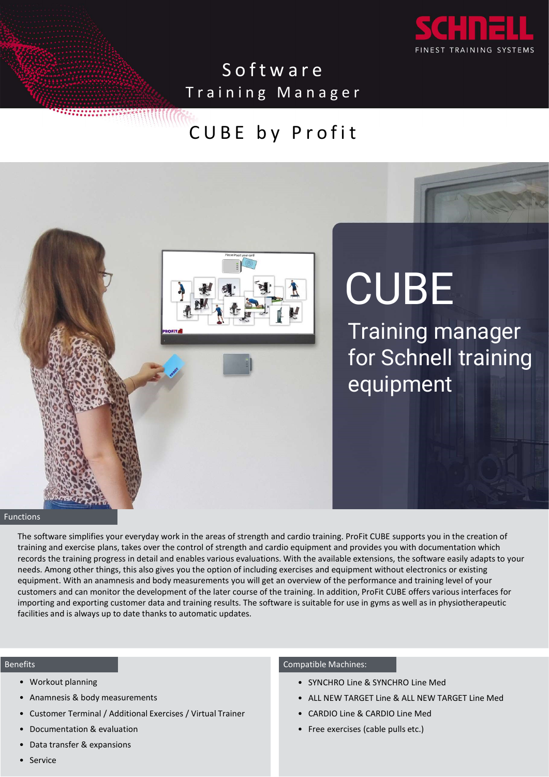

S O f t w a r e<br>
S o f t w a r e<br>
ning Manager<br>
B E by Profit Software<br>Training Manager<br>CUBE by Profit Software<br>
Fraining Manager<br>
CUBE by Profit



Functions

deardio training. ProFit CUBE supports you in the creation of<br>o equipment and provides you with documentation which<br>With the available extensions, the software easily adapts to your<br>axercises and equipment without electron training and exercise plans, takes over the control of strength and cardio equipment and provides you with documentation which records the training progress in detail and enables various evaluations. With the available extensions, the software easily adapts to your needs. Among other things, this also gives you the option of including exercises and equipment without electronics or existing equipment. With an anamnesis and body measurements you will get an overview of the performance and training level of your importing and exporting customer data and training results. The software is suitable for use in gyms as well as in physiotherapeutic facilities and is always up to date thanks to automatic updates. dio training. ProFit CUBE supports you in the creation of<br>uujoment and provides you with documentation which<br>the available extensions, the software easily adapts to your<br>sises and equipment without electronics or existing<br> dio training. ProFit CUBE supports you in the creation of<br>quipment and provides you with documentation which<br>the available extensions, the software easily adapts to your<br>sises and equipment without electronics or existing<br> dio training. ProFit CUBE supports you in the creation of<br>puipment and provides you with documentation which<br>the available extensions, the software easily adapts to your<br>sizes and equipment without electronics or existing<br> Free exercises (cable pulls etc.)<br>• Free exercises (cable pulpromet and provides you with documentation which<br>the available extensions, the software easily adapts to your<br>sizes and equipment without electronics or existing • Workout planning<br>
• Workout planning<br>
• Workout Parameters & expansions<br>
• Workout Parameters & expansions<br>
• Workout planning<br>
• Workout planning<br>
• Workout planning<br>
• Workout planning<br>
• Workout planning<br>
• Workout pl • Anamnesis & body measurements<br>• Anamnesis & body measurements<br>• Anamnesis & body measurements you records the training properts in the aces of strength and cardio craining. Profit CUBE super<br>
Firstnaming and exercise pla • Customer Terminal / Additional Exercises / Virtual Trainer<br>• Customes School (1995) and the set of the set of the set of the set of the set of the training and exercise plans, takes over the control of strength and cardi **Example the solution**<br>
The solutions of the action of strength and cardio training. ProFit CUBE<br>
Training and exercise plans, takes over the control of strength and cardio equipment and provides y<br>
racining and exercise tions<br>
The software simplifies your everyday work in the areas of strength and cardio training. ProFit CUI<br>
reaining and exercise plans, takes over the control of strength and cardio equipment and provides<br>
records the tra The software simplifies your everyday work in the areas of strength and cardio training<br>
training and exercise plans, takes over the control of strength and cardio equipment<br>
records the training progress in detail and ena

## Benefits

- 
- 
- 
- 
- 
- 

- 
- 
- 
-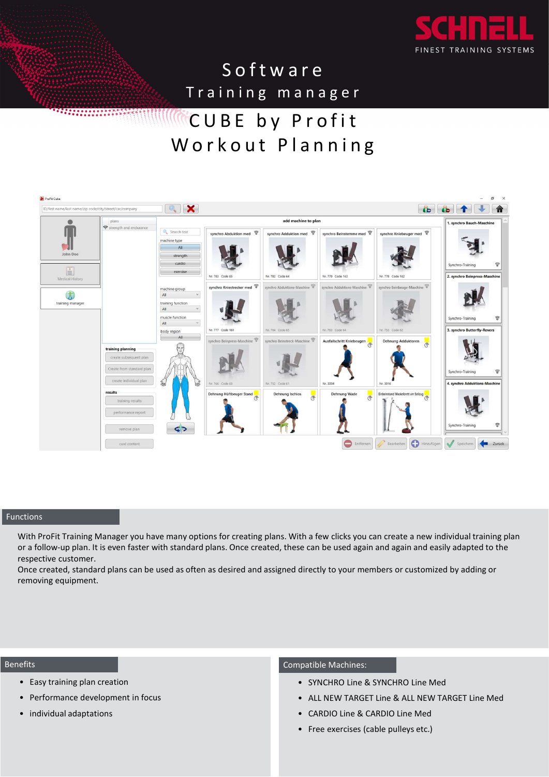

# Software<br>Training manager<br>CUBE by Profit<br>'orkout Planning Software<br>
FINEST TRAINING SYSTEMS<br>
Training manager<br>
CUBE by Profit<br>
orkout Planning . . . . . . . . . . . . . . . .



# **Functions**

or a follow-up plan. It is even faster with standard plans. Once created, these can be used again and again and easily adapted to the respective customer. ith a few clicks you can create a new individual training plan<br>
be can be used again and again and easily adapted to the<br>
directly to your members or customized by adding or<br> **expansible Machines:**<br>
• SYNCHRO Line & SYNCHR Fith a few clicks you can create a new individual training plan<br>
be can be used again and again and easily adapted to the<br>
directly to your members or customized by adding or<br>
patible Machines:<br>
• SYNCHRO Line & SYNCHRO Li The a few clicks you can create a new individual training plan<br>Figure and be used again and again and easily adapted to the<br>directly to your members or customized by adding or<br>patible Machines:<br>• SYNCHRO Line & SYNCHRO Lin The a few clicks you can create a new individual training plan<br>Free can be used again and again and easily adapted to the<br>directly to your members or customized by adding or<br>patible Machines:<br>• SYNCHRO Line & SYNCHRO Line extions<br>
With ProFit Training Manager you have many options for creating plans. With a few clicks you can<br>
a follow-up plan. It is even faster with standard plans. Once created, these can be used again a<br>
Once created, sta Compatible Machines:<br>• Training Manager you have many options for creating plans. With a few clicks you can create a new<br>• Performance created, standard plans can be used as often as desired and assigned directly to your m ctions<br>
with ProFit Training Manager you have many options for creating plans. With a few<br>
or a follow-up plan. It is even faster with standard plans. Once created, these can be<br>
expective customer.<br>
Once created, standard

Once created, standard plans can be used as often as desired and assigned directly to your members or customized by adding or removing equipment.

# Benefits

- 
- 
- 

- 
- 
- 
-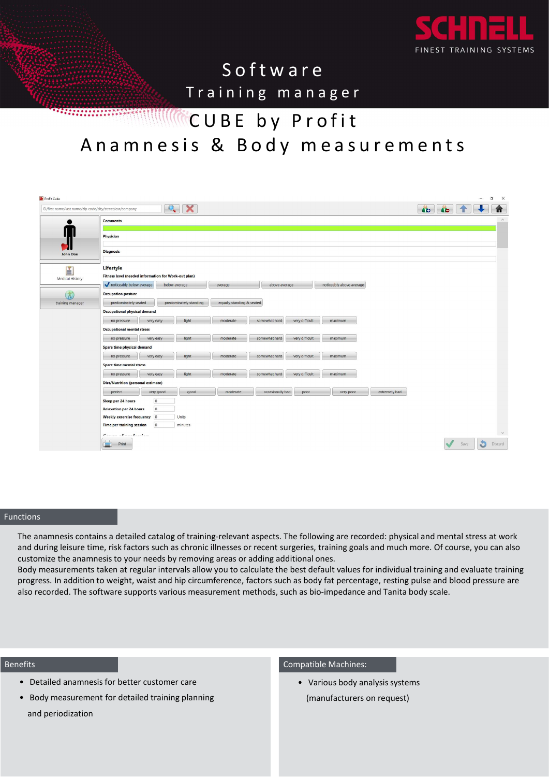

# S of t w a r e<br>
S of t w a r e<br>
ning manager<br>
B E by Profit Software<br>Training manager<br>CUBE by Profit<br>is & Body measurements Software<br>
Software<br>
Training manager<br>
CUBE by Profit<br>
s & Body measurements Software<br>
FREEST TRAINING SYSTEMS<br>
A namnesis & Body measurements<br>
A namnesis & Body measurements<br>
B RIS

| $\bullet$              | QX<br>ID/first name/last name/zip code/city/street/car/company                                                                             | <b>10 10</b>    |
|------------------------|--------------------------------------------------------------------------------------------------------------------------------------------|-----------------|
|                        | Comments                                                                                                                                   |                 |
| П                      |                                                                                                                                            |                 |
|                        | Physician                                                                                                                                  |                 |
| 21                     | <b>Diagnosis</b>                                                                                                                           |                 |
| <b>John Doe</b>        |                                                                                                                                            |                 |
| E                      | Lifestyle                                                                                                                                  |                 |
| <b>Medical History</b> | Fitness level (needed information for Work-out plan)                                                                                       |                 |
|                        | noticeably below average<br>below average<br>above average<br>noticeably above average<br>average                                          |                 |
| $\bigcirc$             | <b>Occupation posture</b>                                                                                                                  |                 |
| training manager       | equally standing & seated<br>predominately standing<br>predominately seated                                                                |                 |
|                        | Occupational physical demand                                                                                                               |                 |
|                        | light<br>moderate<br>somewhat hard<br>very difficult<br>maximum<br>no pressure<br>very easy                                                |                 |
|                        | <b>Occupational mental stress</b>                                                                                                          |                 |
|                        | light<br>very difficult<br>somewhat hard<br>maximum<br>moderate<br>no pressure<br>very easy                                                |                 |
|                        | Spare time physical demand                                                                                                                 |                 |
|                        | light<br>very difficult<br>no pressure<br>very easy<br>moderate<br>somewhat hard<br>maximum                                                |                 |
|                        | Spare time mental stres                                                                                                                    |                 |
|                        | light<br>very difficult<br>moderate<br>somewhat hard<br>no pressure<br>very easy<br>maximum                                                |                 |
|                        | <b>Diet/Nutrition (personal estimate)</b>                                                                                                  |                 |
|                        | good<br>moderate<br>occasionally bad<br>very poor<br>extremely bad<br>perfect<br>very good<br>poor                                         |                 |
|                        | Sleep per 24 hour:                                                                                                                         |                 |
|                        | $\circ$<br><b>Relaxation per 24 hours</b>                                                                                                  |                 |
|                        | Weekly excercise frequency<br>$ 0\rangle$<br>Units                                                                                         |                 |
|                        | Time per training session<br>$\circ$<br>minutes                                                                                            |                 |
|                        | $\epsilon$<br>$\cdot$                                                                                                                      |                 |
|                        | $\Rightarrow$ Print                                                                                                                        | Discard<br>Save |
|                        |                                                                                                                                            |                 |
|                        |                                                                                                                                            |                 |
|                        |                                                                                                                                            |                 |
|                        |                                                                                                                                            |                 |
|                        |                                                                                                                                            |                 |
|                        |                                                                                                                                            |                 |
|                        |                                                                                                                                            |                 |
|                        |                                                                                                                                            |                 |
|                        |                                                                                                                                            |                 |
|                        |                                                                                                                                            |                 |
|                        |                                                                                                                                            |                 |
|                        | The anamnesis contains a detailed catalog of training-relevant aspects. The following are recorded: physical and mental stress at work     |                 |
|                        | and during leisure time, risk factors such as chronic illnesses or recent surgeries, training goals and much more. Of course, you can also |                 |
|                        |                                                                                                                                            |                 |
|                        | customize the anamnesis to your needs by removing areas or adding additional ones.                                                         |                 |
|                        | Body measurements taken at regular intervals allow you to calculate the best default values for individual training and evaluate training  |                 |
|                        |                                                                                                                                            |                 |
|                        | progress. In addition to weight, waist and hip circumference, factors such as body fat percentage, resting pulse and blood pressure are    |                 |
|                        | also recorded. The software supports various measurement methods, such as bio-impedance and Tanita body scale.                             |                 |
|                        |                                                                                                                                            |                 |
| ctions                 |                                                                                                                                            |                 |
|                        |                                                                                                                                            |                 |
|                        |                                                                                                                                            |                 |
|                        |                                                                                                                                            |                 |
|                        |                                                                                                                                            |                 |
|                        |                                                                                                                                            |                 |

## Functions

The following are recorded: physical and mental stress at work<br>urgeries, training goals and much more. Of course, you can also<br>diditional ones.<br>
e best default values for individual training and evaluate training<br>
ch as bo Body measurements taken at regular intervals allow you to calculate the best default values for individual training and evaluate training progress. In addition to weight, waist and hip circumference, factors such as body fat percentage, resting pulse and blood pressure are following are recorded: physical and mental stress at work<br>eries, training goals and much more. Of course, you can also<br>onal ones.<br>st default values for individual training and evaluate training<br>s body fat percentage, rest Fither anamnesis contains a detailed catalog of training-relevant aspects. The following and during leisure time, risk factors such as chronic illnesses or recent surgeries, training-<br>the anamnesis to your needs by removin Film and units and detailed catalog of training-relevant aspects. The following the anamesis contains a detailed catalog of training-relevant aspects. The following units with currect are the software and training areas or

### Benefits

- 
- and periodization

(manufacturers on request)